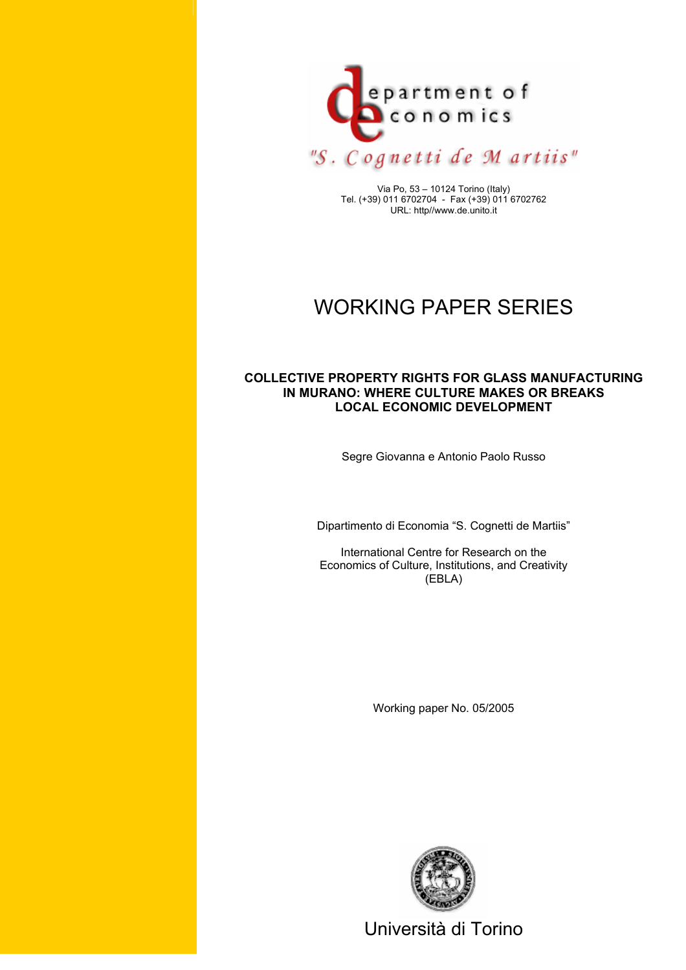

Via Po, 53 – 10124 Torino (Italy) Tel. (+39) 011 6702704 - Fax (+39) 011 6702762 URL: http//www.de.unito.it

# WORKING PAPER SERIES

## **COLLECTIVE PROPERTY RIGHTS FOR GLASS MANUFACTURING IN MURANO: WHERE CULTURE MAKES OR BREAKS LOCAL ECONOMIC DEVELOPMENT**

Segre Giovanna e Antonio Paolo Russo

Dipartimento di Economia "S. Cognetti de Martiis"

International Centre for Research on the Economics of Culture, Institutions, and Creativity (EBLA)

Working paper No. 05/2005



Università di Torino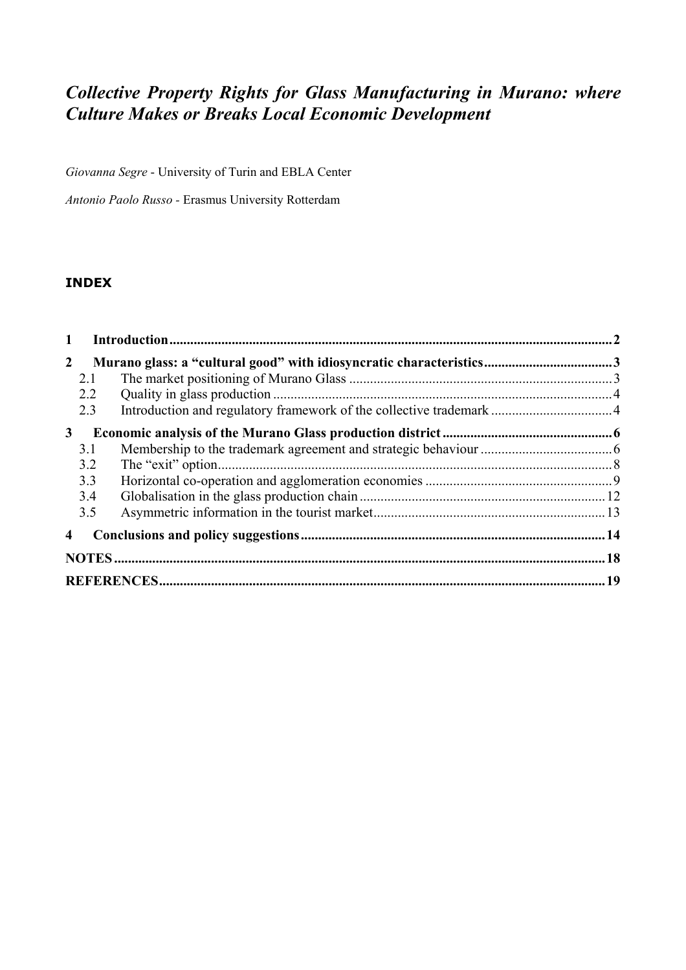## *Collective Property Rights for Glass Manufacturing in Murano: where Culture Makes or Breaks Local Economic Development*

*Giovanna Segre* - University of Turin and EBLA Center

*Antonio Paolo Russo -* Erasmus University Rotterdam

## **INDEX**

| $\mathbf{1}$ |  |  |  |  |
|--------------|--|--|--|--|
| $\mathbf{2}$ |  |  |  |  |
| 2.1          |  |  |  |  |
| 2.2          |  |  |  |  |
| 2.3          |  |  |  |  |
| $\mathbf{3}$ |  |  |  |  |
| 3.1          |  |  |  |  |
| 3.2          |  |  |  |  |
| 3.3          |  |  |  |  |
| 3.4          |  |  |  |  |
| 3.5          |  |  |  |  |
| 4            |  |  |  |  |
|              |  |  |  |  |
|              |  |  |  |  |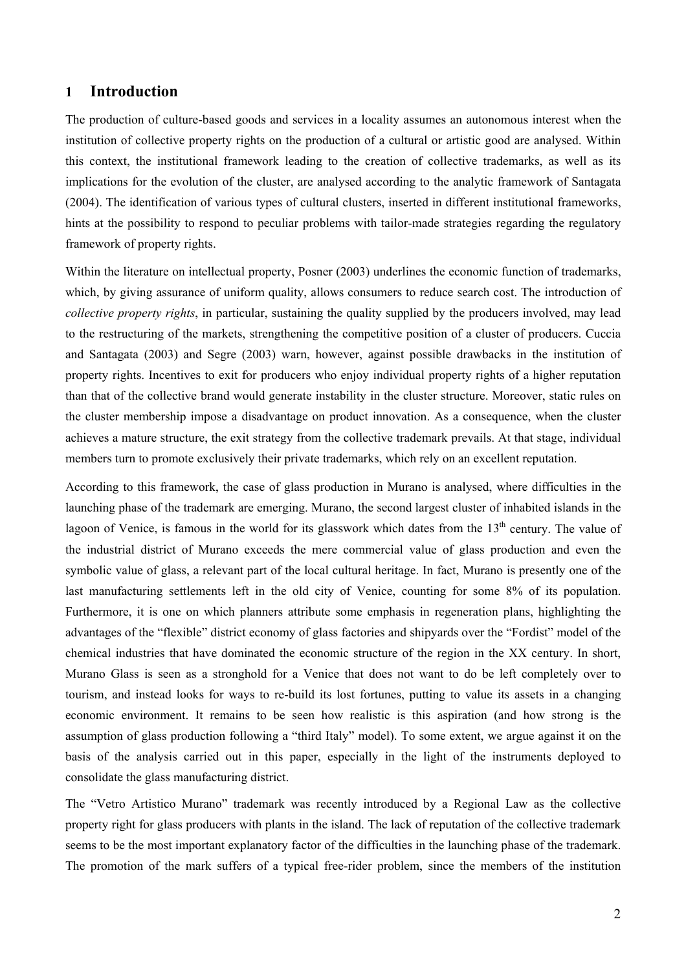## **1 Introduction**

The production of culture-based goods and services in a locality assumes an autonomous interest when the institution of collective property rights on the production of a cultural or artistic good are analysed. Within this context, the institutional framework leading to the creation of collective trademarks, as well as its implications for the evolution of the cluster, are analysed according to the analytic framework of Santagata (2004). The identification of various types of cultural clusters, inserted in different institutional frameworks, hints at the possibility to respond to peculiar problems with tailor-made strategies regarding the regulatory framework of property rights.

Within the literature on intellectual property, Posner (2003) underlines the economic function of trademarks, which, by giving assurance of uniform quality, allows consumers to reduce search cost. The introduction of *collective property rights*, in particular, sustaining the quality supplied by the producers involved, may lead to the restructuring of the markets, strengthening the competitive position of a cluster of producers. Cuccia and Santagata (2003) and Segre (2003) warn, however, against possible drawbacks in the institution of property rights. Incentives to exit for producers who enjoy individual property rights of a higher reputation than that of the collective brand would generate instability in the cluster structure. Moreover, static rules on the cluster membership impose a disadvantage on product innovation. As a consequence, when the cluster achieves a mature structure, the exit strategy from the collective trademark prevails. At that stage, individual members turn to promote exclusively their private trademarks, which rely on an excellent reputation.

According to this framework, the case of glass production in Murano is analysed, where difficulties in the launching phase of the trademark are emerging. Murano, the second largest cluster of inhabited islands in the lagoon of Venice, is famous in the world for its glasswork which dates from the  $13<sup>th</sup>$  century. The value of the industrial district of Murano exceeds the mere commercial value of glass production and even the symbolic value of glass, a relevant part of the local cultural heritage. In fact, Murano is presently one of the last manufacturing settlements left in the old city of Venice, counting for some 8% of its population. Furthermore, it is one on which planners attribute some emphasis in regeneration plans, highlighting the advantages of the "flexible" district economy of glass factories and shipyards over the "Fordist" model of the chemical industries that have dominated the economic structure of the region in the XX century. In short, Murano Glass is seen as a stronghold for a Venice that does not want to do be left completely over to tourism, and instead looks for ways to re-build its lost fortunes, putting to value its assets in a changing economic environment. It remains to be seen how realistic is this aspiration (and how strong is the assumption of glass production following a "third Italy" model). To some extent, we argue against it on the basis of the analysis carried out in this paper, especially in the light of the instruments deployed to consolidate the glass manufacturing district.

The "Vetro Artistico Murano" trademark was recently introduced by a Regional Law as the collective property right for glass producers with plants in the island. The lack of reputation of the collective trademark seems to be the most important explanatory factor of the difficulties in the launching phase of the trademark. The promotion of the mark suffers of a typical free-rider problem, since the members of the institution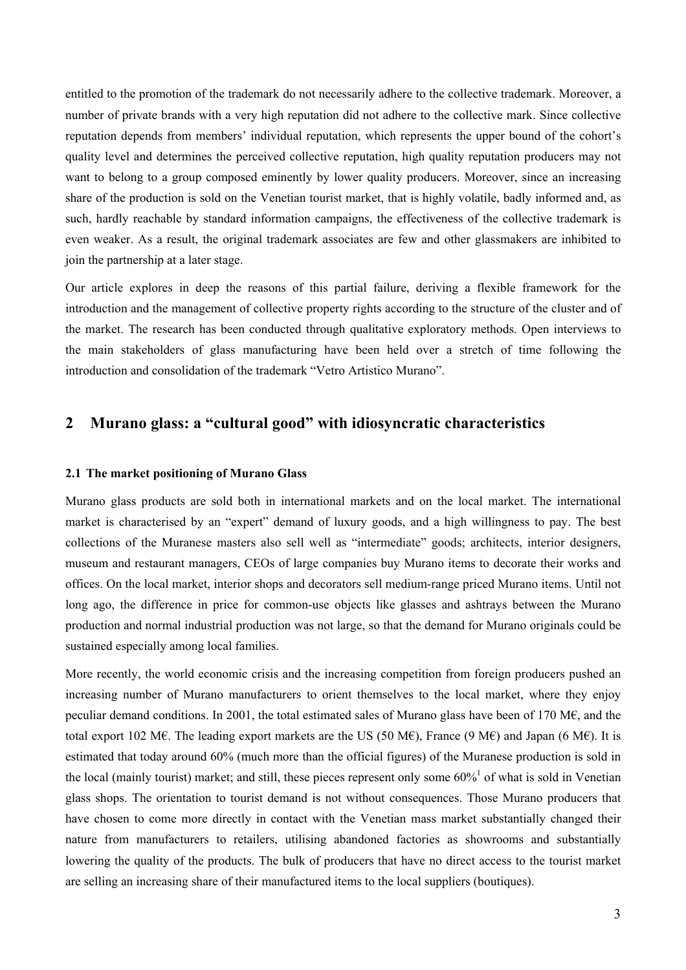entitled to the promotion of the trademark do not necessarily adhere to the collective trademark. Moreover, a number of private brands with a very high reputation did not adhere to the collective mark. Since collective reputation depends from members' individual reputation, which represents the upper bound of the cohort's quality level and determines the perceived collective reputation, high quality reputation producers may not want to belong to a group composed eminently by lower quality producers. Moreover, since an increasing share of the production is sold on the Venetian tourist market, that is highly volatile, badly informed and, as such, hardly reachable by standard information campaigns, the effectiveness of the collective trademark is even weaker. As a result, the original trademark associates are few and other glassmakers are inhibited to join the partnership at a later stage.

Our article explores in deep the reasons of this partial failure, deriving a flexible framework for the introduction and the management of collective property rights according to the structure of the cluster and of the market. The research has been conducted through qualitative exploratory methods. Open interviews to the main stakeholders of glass manufacturing have been held over a stretch of time following the introduction and consolidation of the trademark "Vetro Artistico Murano".

## **2 Murano glass: a "cultural good" with idiosyncratic characteristics**

#### **2.1 The market positioning of Murano Glass**

Murano glass products are sold both in international markets and on the local market. The international market is characterised by an "expert" demand of luxury goods, and a high willingness to pay. The best collections of the Muranese masters also sell well as "intermediate" goods; architects, interior designers, museum and restaurant managers, CEOs of large companies buy Murano items to decorate their works and offices. On the local market, interior shops and decorators sell medium-range priced Murano items. Until not long ago, the difference in price for common-use objects like glasses and ashtrays between the Murano production and normal industrial production was not large, so that the demand for Murano originals could be sustained especially among local families.

More recently, the world economic crisis and the increasing competition from foreign producers pushed an increasing number of Murano manufacturers to orient themselves to the local market, where they enjoy peculiar demand conditions. In 2001, the total estimated sales of Murano glass have been of 170 M€, and the total export 102 M€. The leading export markets are the US (50 M€), France (9 M€) and Japan (6 M€). It is estimated that today around 60% (much more than the official figures) of the Muranese production is sold in the local (mainly tourist) market; and still, these pieces represent only some  $60\%$ <sup>1</sup> of what is sold in Venetian glass shops. The orientation to tourist demand is not without consequences. Those Murano producers that have chosen to come more directly in contact with the Venetian mass market substantially changed their nature from manufacturers to retailers, utilising abandoned factories as showrooms and substantially lowering the quality of the products. The bulk of producers that have no direct access to the tourist market are selling an increasing share of their manufactured items to the local suppliers (boutiques).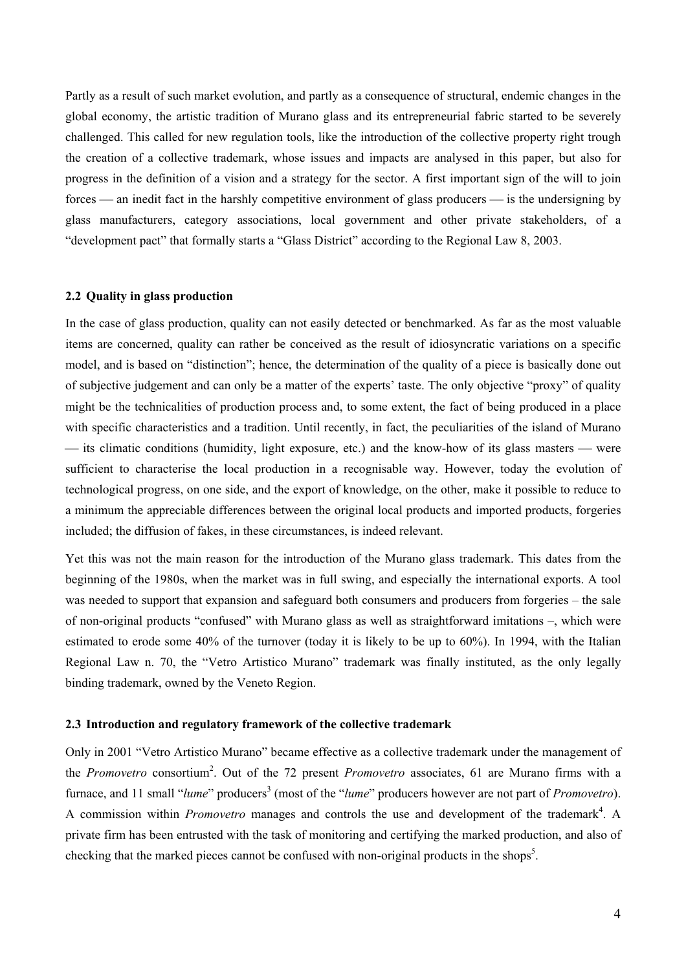Partly as a result of such market evolution, and partly as a consequence of structural, endemic changes in the global economy, the artistic tradition of Murano glass and its entrepreneurial fabric started to be severely challenged. This called for new regulation tools, like the introduction of the collective property right trough the creation of a collective trademark, whose issues and impacts are analysed in this paper, but also for progress in the definition of a vision and a strategy for the sector. A first important sign of the will to join forces  $\frac{a}{b}$  an inedit fact in the harshly competitive environment of glass producers  $\frac{a}{b}$  is the undersigning by glass manufacturers, category associations, local government and other private stakeholders, of a "development pact" that formally starts a "Glass District" according to the Regional Law 8, 2003.

#### **2.2 Quality in glass production**

In the case of glass production, quality can not easily detected or benchmarked. As far as the most valuable items are concerned, quality can rather be conceived as the result of idiosyncratic variations on a specific model, and is based on "distinction"; hence, the determination of the quality of a piece is basically done out of subjective judgement and can only be a matter of the experts' taste. The only objective "proxy" of quality might be the technicalities of production process and, to some extent, the fact of being produced in a place with specific characteristics and a tradition. Until recently, in fact, the peculiarities of the island of Murano its climatic conditions (humidity, light exposure, etc.) and the know-how of its glass masters — were sufficient to characterise the local production in a recognisable way. However, today the evolution of technological progress, on one side, and the export of knowledge, on the other, make it possible to reduce to a minimum the appreciable differences between the original local products and imported products, forgeries included; the diffusion of fakes, in these circumstances, is indeed relevant.

Yet this was not the main reason for the introduction of the Murano glass trademark. This dates from the beginning of the 1980s, when the market was in full swing, and especially the international exports. A tool was needed to support that expansion and safeguard both consumers and producers from forgeries – the sale of non-original products "confused" with Murano glass as well as straightforward imitations –, which were estimated to erode some 40% of the turnover (today it is likely to be up to 60%). In 1994, with the Italian Regional Law n. 70, the "Vetro Artistico Murano" trademark was finally instituted, as the only legally binding trademark, owned by the Veneto Region.

#### **2.3 Introduction and regulatory framework of the collective trademark**

Only in 2001 "Vetro Artistico Murano" became effective as a collective trademark under the management of the *Promovetro* consortium<sup>2</sup>. Out of the 72 present *Promovetro* associates, 61 are Murano firms with a furnace, and 11 small "*lume*" producers<sup>3</sup> (most of the "*lume*" producers however are not part of *Promovetro*). A commission within *Promovetro* manages and controls the use and development of the trademark<sup>4</sup>. A private firm has been entrusted with the task of monitoring and certifying the marked production, and also of checking that the marked pieces cannot be confused with non-original products in the shops<sup>5</sup>.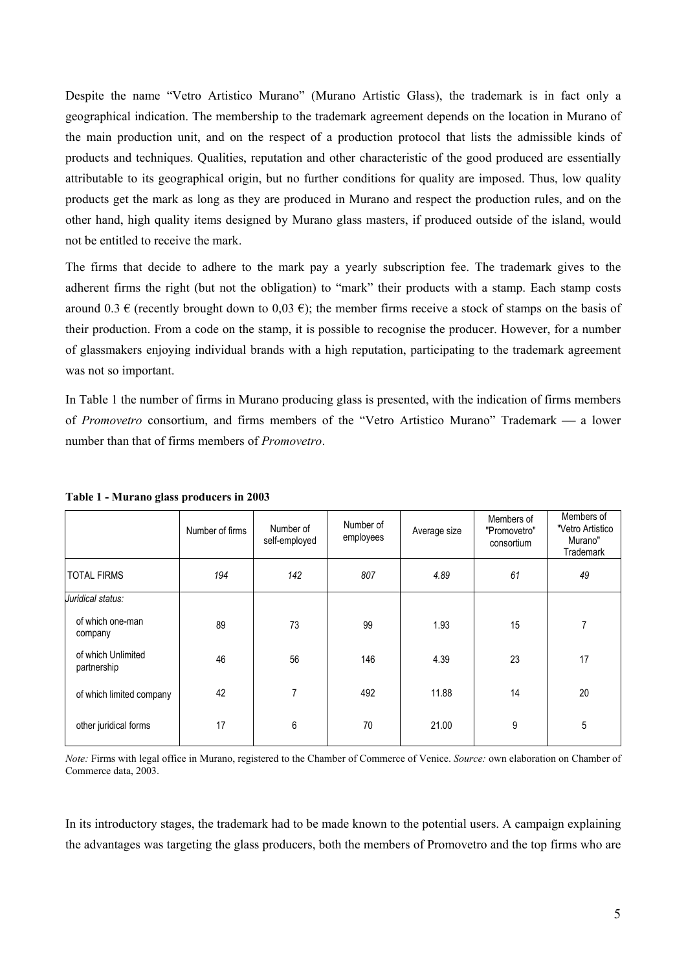Despite the name "Vetro Artistico Murano" (Murano Artistic Glass), the trademark is in fact only a geographical indication. The membership to the trademark agreement depends on the location in Murano of the main production unit, and on the respect of a production protocol that lists the admissible kinds of products and techniques. Qualities, reputation and other characteristic of the good produced are essentially attributable to its geographical origin, but no further conditions for quality are imposed. Thus, low quality products get the mark as long as they are produced in Murano and respect the production rules, and on the other hand, high quality items designed by Murano glass masters, if produced outside of the island, would not be entitled to receive the mark.

The firms that decide to adhere to the mark pay a yearly subscription fee. The trademark gives to the adherent firms the right (but not the obligation) to "mark" their products with a stamp. Each stamp costs around 0.3  $\epsilon$  (recently brought down to 0,03  $\epsilon$ ); the member firms receive a stock of stamps on the basis of their production. From a code on the stamp, it is possible to recognise the producer. However, for a number of glassmakers enjoying individual brands with a high reputation, participating to the trademark agreement was not so important.

In Table 1 the number of firms in Murano producing glass is presented, with the indication of firms members of *Promovetro* consortium, and firms members of the "Vetro Artistico Murano" Trademark — a lower number than that of firms members of *Promovetro*.

|                                   | Number of firms | Number of<br>self-employed | Number of<br>employees | Average size | Members of<br>"Promovetro"<br>consortium | Members of<br>"Vetro Artistico<br>Murano"<br><b>Trademark</b> |
|-----------------------------------|-----------------|----------------------------|------------------------|--------------|------------------------------------------|---------------------------------------------------------------|
| <b>TOTAL FIRMS</b>                | 194             | 142                        | 807                    | 4.89         | 61                                       | 49                                                            |
| Juridical status:                 |                 |                            |                        |              |                                          |                                                               |
| of which one-man<br>company       | 89              | 73                         | 99                     | 1.93         | 15                                       | 7                                                             |
| of which Unlimited<br>partnership | 46              | 56                         | 146                    | 4.39         | 23                                       | 17                                                            |
| of which limited company          | 42              | $\overline{7}$             | 492                    | 11.88        | 14                                       | 20                                                            |
| other juridical forms             | 17              | 6                          | 70                     | 21.00        | 9                                        | 5                                                             |

**Table 1 - Murano glass producers in 2003**

*Note:* Firms with legal office in Murano, registered to the Chamber of Commerce of Venice. *Source:* own elaboration on Chamber of Commerce data, 2003.

In its introductory stages, the trademark had to be made known to the potential users. A campaign explaining the advantages was targeting the glass producers, both the members of Promovetro and the top firms who are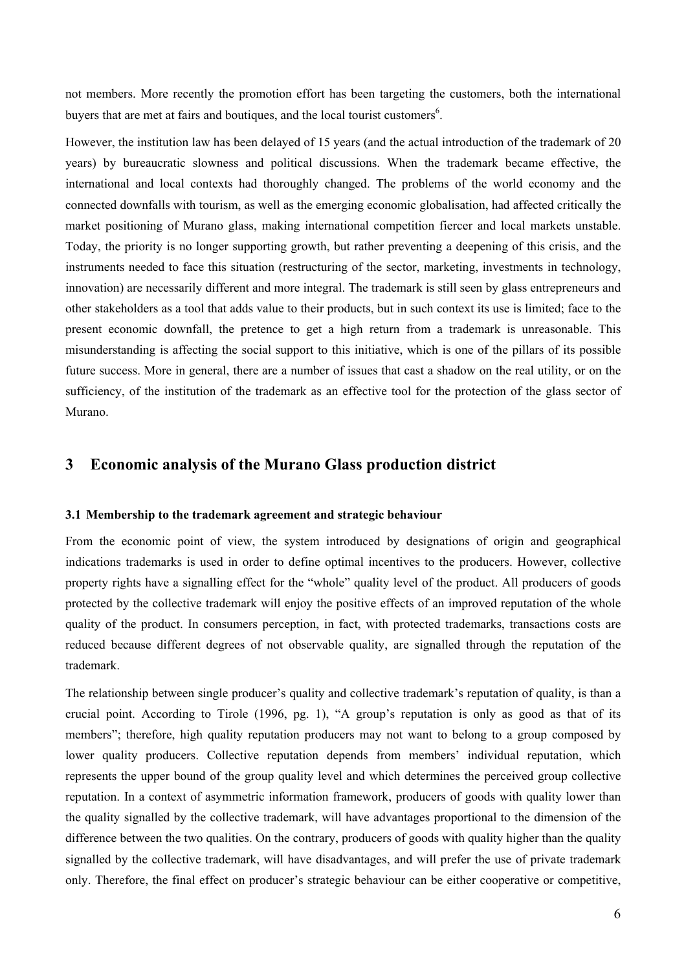not members. More recently the promotion effort has been targeting the customers, both the international buyers that are met at fairs and boutiques, and the local tourist customers $6$ .

However, the institution law has been delayed of 15 years (and the actual introduction of the trademark of 20 years) by bureaucratic slowness and political discussions. When the trademark became effective, the international and local contexts had thoroughly changed. The problems of the world economy and the connected downfalls with tourism, as well as the emerging economic globalisation, had affected critically the market positioning of Murano glass, making international competition fiercer and local markets unstable. Today, the priority is no longer supporting growth, but rather preventing a deepening of this crisis, and the instruments needed to face this situation (restructuring of the sector, marketing, investments in technology, innovation) are necessarily different and more integral. The trademark is still seen by glass entrepreneurs and other stakeholders as a tool that adds value to their products, but in such context its use is limited; face to the present economic downfall, the pretence to get a high return from a trademark is unreasonable. This misunderstanding is affecting the social support to this initiative, which is one of the pillars of its possible future success. More in general, there are a number of issues that cast a shadow on the real utility, or on the sufficiency, of the institution of the trademark as an effective tool for the protection of the glass sector of Murano.

## **3 Economic analysis of the Murano Glass production district**

## **3.1 Membership to the trademark agreement and strategic behaviour**

From the economic point of view, the system introduced by designations of origin and geographical indications trademarks is used in order to define optimal incentives to the producers. However, collective property rights have a signalling effect for the "whole" quality level of the product. All producers of goods protected by the collective trademark will enjoy the positive effects of an improved reputation of the whole quality of the product. In consumers perception, in fact, with protected trademarks, transactions costs are reduced because different degrees of not observable quality, are signalled through the reputation of the trademark.

The relationship between single producer's quality and collective trademark's reputation of quality, is than a crucial point. According to Tirole (1996, pg. 1), "A group's reputation is only as good as that of its members"; therefore, high quality reputation producers may not want to belong to a group composed by lower quality producers. Collective reputation depends from members' individual reputation, which represents the upper bound of the group quality level and which determines the perceived group collective reputation. In a context of asymmetric information framework, producers of goods with quality lower than the quality signalled by the collective trademark, will have advantages proportional to the dimension of the difference between the two qualities. On the contrary, producers of goods with quality higher than the quality signalled by the collective trademark, will have disadvantages, and will prefer the use of private trademark only. Therefore, the final effect on producer's strategic behaviour can be either cooperative or competitive,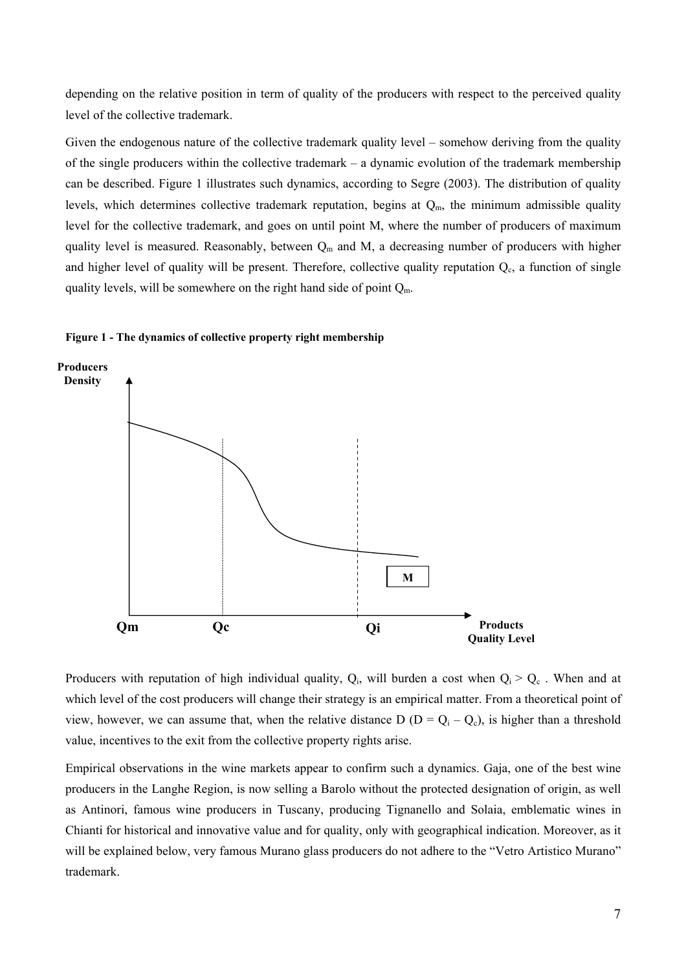depending on the relative position in term of quality of the producers with respect to the perceived quality level of the collective trademark.

Given the endogenous nature of the collective trademark quality level – somehow deriving from the quality of the single producers within the collective trademark – a dynamic evolution of the trademark membership can be described. Figure 1 illustrates such dynamics, according to Segre (2003). The distribution of quality levels, which determines collective trademark reputation, begins at  $Q_m$ , the minimum admissible quality level for the collective trademark, and goes on until point M, where the number of producers of maximum quality level is measured. Reasonably, between  $Q_m$  and M, a decreasing number of producers with higher and higher level of quality will be present. Therefore, collective quality reputation  $Q_c$ , a function of single quality levels, will be somewhere on the right hand side of point  $Q_m$ .





Producers with reputation of high individual quality,  $Q_i$ , will burden a cost when  $Q_i > Q_c$ . When and at which level of the cost producers will change their strategy is an empirical matter. From a theoretical point of view, however, we can assume that, when the relative distance  $D (D = Q_i - Q_c)$ , is higher than a threshold value, incentives to the exit from the collective property rights arise.

Empirical observations in the wine markets appear to confirm such a dynamics. Gaja, one of the best wine producers in the Langhe Region, is now selling a Barolo without the protected designation of origin, as well as Antinori, famous wine producers in Tuscany, producing Tignanello and Solaia, emblematic wines in Chianti for historical and innovative value and for quality, only with geographical indication. Moreover, as it will be explained below, very famous Murano glass producers do not adhere to the "Vetro Artistico Murano" trademark.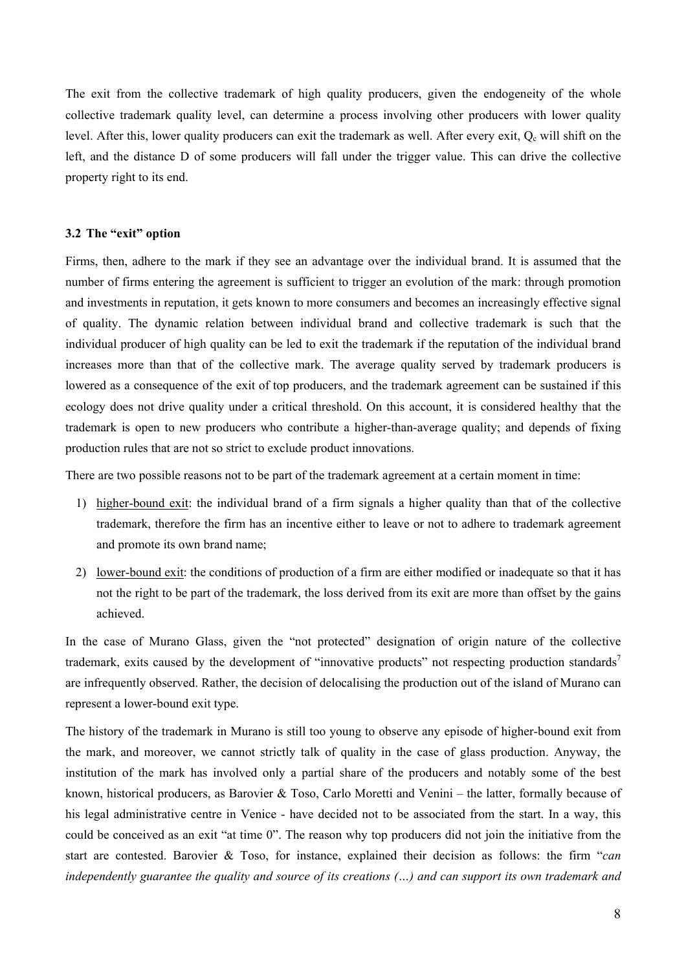The exit from the collective trademark of high quality producers, given the endogeneity of the whole collective trademark quality level, can determine a process involving other producers with lower quality level. After this, lower quality producers can exit the trademark as well. After every exit,  $Q_c$  will shift on the left, and the distance D of some producers will fall under the trigger value. This can drive the collective property right to its end.

## **3.2 The "exit" option**

Firms, then, adhere to the mark if they see an advantage over the individual brand. It is assumed that the number of firms entering the agreement is sufficient to trigger an evolution of the mark: through promotion and investments in reputation, it gets known to more consumers and becomes an increasingly effective signal of quality. The dynamic relation between individual brand and collective trademark is such that the individual producer of high quality can be led to exit the trademark if the reputation of the individual brand increases more than that of the collective mark. The average quality served by trademark producers is lowered as a consequence of the exit of top producers, and the trademark agreement can be sustained if this ecology does not drive quality under a critical threshold. On this account, it is considered healthy that the trademark is open to new producers who contribute a higher-than-average quality; and depends of fixing production rules that are not so strict to exclude product innovations.

There are two possible reasons not to be part of the trademark agreement at a certain moment in time:

- 1) higher-bound exit: the individual brand of a firm signals a higher quality than that of the collective trademark, therefore the firm has an incentive either to leave or not to adhere to trademark agreement and promote its own brand name;
- 2) lower-bound exit: the conditions of production of a firm are either modified or inadequate so that it has not the right to be part of the trademark, the loss derived from its exit are more than offset by the gains achieved.

In the case of Murano Glass, given the "not protected" designation of origin nature of the collective trademark, exits caused by the development of "innovative products" not respecting production standards<sup>7</sup> are infrequently observed. Rather, the decision of delocalising the production out of the island of Murano can represent a lower-bound exit type.

The history of the trademark in Murano is still too young to observe any episode of higher-bound exit from the mark, and moreover, we cannot strictly talk of quality in the case of glass production. Anyway, the institution of the mark has involved only a partial share of the producers and notably some of the best known, historical producers, as Barovier & Toso, Carlo Moretti and Venini – the latter, formally because of his legal administrative centre in Venice - have decided not to be associated from the start. In a way, this could be conceived as an exit "at time 0". The reason why top producers did not join the initiative from the start are contested. Barovier & Toso, for instance, explained their decision as follows: the firm "*can independently guarantee the quality and source of its creations (…) and can support its own trademark and*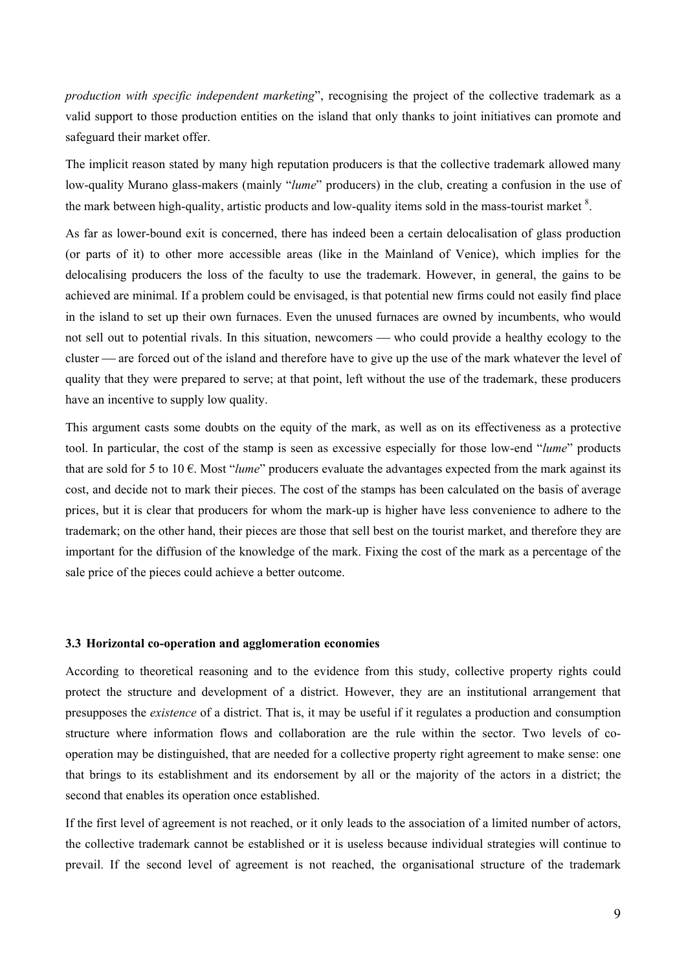*production with specific independent marketing*", recognising the project of the collective trademark as a valid support to those production entities on the island that only thanks to joint initiatives can promote and safeguard their market offer.

The implicit reason stated by many high reputation producers is that the collective trademark allowed many low-quality Murano glass-makers (mainly "*lume*" producers) in the club, creating a confusion in the use of the mark between high-quality, artistic products and low-quality items sold in the mass-tourist market  $\delta$ .

As far as lower-bound exit is concerned, there has indeed been a certain delocalisation of glass production (or parts of it) to other more accessible areas (like in the Mainland of Venice), which implies for the delocalising producers the loss of the faculty to use the trademark. However, in general, the gains to be achieved are minimal. If a problem could be envisaged, is that potential new firms could not easily find place in the island to set up their own furnaces. Even the unused furnaces are owned by incumbents, who would not sell out to potential rivals. In this situation, newcomers — who could provide a healthy ecology to the cluster — are forced out of the island and therefore have to give up the use of the mark whatever the level of quality that they were prepared to serve; at that point, left without the use of the trademark, these producers have an incentive to supply low quality.

This argument casts some doubts on the equity of the mark, as well as on its effectiveness as a protective tool. In particular, the cost of the stamp is seen as excessive especially for those low-end "*lume*" products that are sold for 5 to 10 €. Most "*lume*" producers evaluate the advantages expected from the mark against its cost, and decide not to mark their pieces. The cost of the stamps has been calculated on the basis of average prices, but it is clear that producers for whom the mark-up is higher have less convenience to adhere to the trademark; on the other hand, their pieces are those that sell best on the tourist market, and therefore they are important for the diffusion of the knowledge of the mark. Fixing the cost of the mark as a percentage of the sale price of the pieces could achieve a better outcome.

#### **3.3 Horizontal co-operation and agglomeration economies**

According to theoretical reasoning and to the evidence from this study, collective property rights could protect the structure and development of a district. However, they are an institutional arrangement that presupposes the *existence* of a district. That is, it may be useful if it regulates a production and consumption structure where information flows and collaboration are the rule within the sector. Two levels of cooperation may be distinguished, that are needed for a collective property right agreement to make sense: one that brings to its establishment and its endorsement by all or the majority of the actors in a district; the second that enables its operation once established.

If the first level of agreement is not reached, or it only leads to the association of a limited number of actors, the collective trademark cannot be established or it is useless because individual strategies will continue to prevail. If the second level of agreement is not reached, the organisational structure of the trademark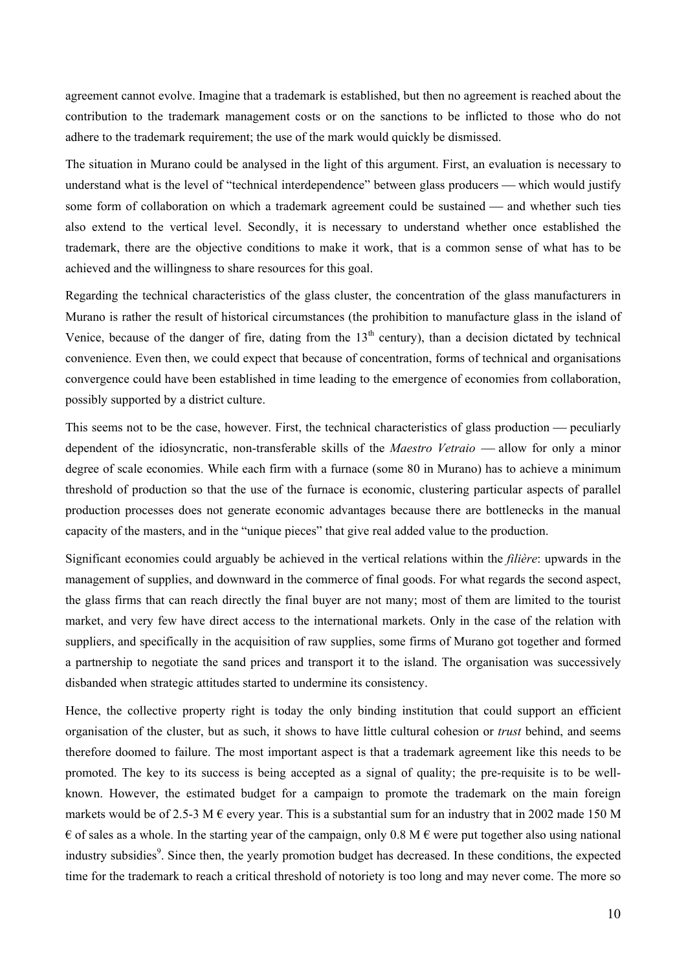agreement cannot evolve. Imagine that a trademark is established, but then no agreement is reached about the contribution to the trademark management costs or on the sanctions to be inflicted to those who do not adhere to the trademark requirement; the use of the mark would quickly be dismissed.

The situation in Murano could be analysed in the light of this argument. First, an evaluation is necessary to understand what is the level of "technical interdependence" between glass producers — which would justify some form of collaboration on which a trademark agreement could be sustained — and whether such ties also extend to the vertical level. Secondly, it is necessary to understand whether once established the trademark, there are the objective conditions to make it work, that is a common sense of what has to be achieved and the willingness to share resources for this goal.

Regarding the technical characteristics of the glass cluster, the concentration of the glass manufacturers in Murano is rather the result of historical circumstances (the prohibition to manufacture glass in the island of Venice, because of the danger of fire, dating from the  $13<sup>th</sup>$  century), than a decision dictated by technical convenience. Even then, we could expect that because of concentration, forms of technical and organisations convergence could have been established in time leading to the emergence of economies from collaboration, possibly supported by a district culture.

This seems not to be the case, however. First, the technical characteristics of glass production — peculiarly dependent of the idiosyncratic, non-transferable skills of the *Maestro Vetraio* — allow for only a minor degree of scale economies. While each firm with a furnace (some 80 in Murano) has to achieve a minimum threshold of production so that the use of the furnace is economic, clustering particular aspects of parallel production processes does not generate economic advantages because there are bottlenecks in the manual capacity of the masters, and in the "unique pieces" that give real added value to the production.

Significant economies could arguably be achieved in the vertical relations within the *filière*: upwards in the management of supplies, and downward in the commerce of final goods. For what regards the second aspect, the glass firms that can reach directly the final buyer are not many; most of them are limited to the tourist market, and very few have direct access to the international markets. Only in the case of the relation with suppliers, and specifically in the acquisition of raw supplies, some firms of Murano got together and formed a partnership to negotiate the sand prices and transport it to the island. The organisation was successively disbanded when strategic attitudes started to undermine its consistency.

Hence, the collective property right is today the only binding institution that could support an efficient organisation of the cluster, but as such, it shows to have little cultural cohesion or *trust* behind, and seems therefore doomed to failure. The most important aspect is that a trademark agreement like this needs to be promoted. The key to its success is being accepted as a signal of quality; the pre-requisite is to be wellknown. However, the estimated budget for a campaign to promote the trademark on the main foreign markets would be of 2.5-3 M  $\epsilon$  every year. This is a substantial sum for an industry that in 2002 made 150 M  $\epsilon$  of sales as a whole. In the starting year of the campaign, only 0.8 M  $\epsilon$  were put together also using national industry subsidies<sup>9</sup>. Since then, the yearly promotion budget has decreased. In these conditions, the expected time for the trademark to reach a critical threshold of notoriety is too long and may never come. The more so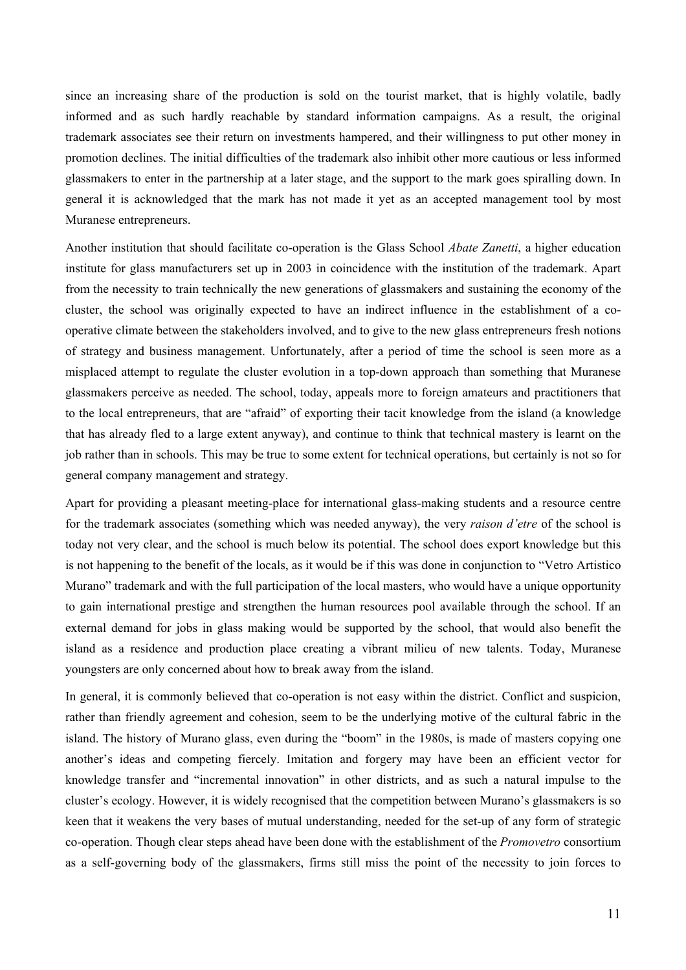since an increasing share of the production is sold on the tourist market, that is highly volatile, badly informed and as such hardly reachable by standard information campaigns. As a result, the original trademark associates see their return on investments hampered, and their willingness to put other money in promotion declines. The initial difficulties of the trademark also inhibit other more cautious or less informed glassmakers to enter in the partnership at a later stage, and the support to the mark goes spiralling down. In general it is acknowledged that the mark has not made it yet as an accepted management tool by most Muranese entrepreneurs.

Another institution that should facilitate co-operation is the Glass School *Abate Zanetti*, a higher education institute for glass manufacturers set up in 2003 in coincidence with the institution of the trademark. Apart from the necessity to train technically the new generations of glassmakers and sustaining the economy of the cluster, the school was originally expected to have an indirect influence in the establishment of a cooperative climate between the stakeholders involved, and to give to the new glass entrepreneurs fresh notions of strategy and business management. Unfortunately, after a period of time the school is seen more as a misplaced attempt to regulate the cluster evolution in a top-down approach than something that Muranese glassmakers perceive as needed. The school, today, appeals more to foreign amateurs and practitioners that to the local entrepreneurs, that are "afraid" of exporting their tacit knowledge from the island (a knowledge that has already fled to a large extent anyway), and continue to think that technical mastery is learnt on the job rather than in schools. This may be true to some extent for technical operations, but certainly is not so for general company management and strategy.

Apart for providing a pleasant meeting-place for international glass-making students and a resource centre for the trademark associates (something which was needed anyway), the very *raison d'etre* of the school is today not very clear, and the school is much below its potential. The school does export knowledge but this is not happening to the benefit of the locals, as it would be if this was done in conjunction to "Vetro Artistico Murano" trademark and with the full participation of the local masters, who would have a unique opportunity to gain international prestige and strengthen the human resources pool available through the school. If an external demand for jobs in glass making would be supported by the school, that would also benefit the island as a residence and production place creating a vibrant milieu of new talents. Today, Muranese youngsters are only concerned about how to break away from the island.

In general, it is commonly believed that co-operation is not easy within the district. Conflict and suspicion, rather than friendly agreement and cohesion, seem to be the underlying motive of the cultural fabric in the island. The history of Murano glass, even during the "boom" in the 1980s, is made of masters copying one another's ideas and competing fiercely. Imitation and forgery may have been an efficient vector for knowledge transfer and "incremental innovation" in other districts, and as such a natural impulse to the cluster's ecology. However, it is widely recognised that the competition between Murano's glassmakers is so keen that it weakens the very bases of mutual understanding, needed for the set-up of any form of strategic co-operation. Though clear steps ahead have been done with the establishment of the *Promovetro* consortium as a self-governing body of the glassmakers, firms still miss the point of the necessity to join forces to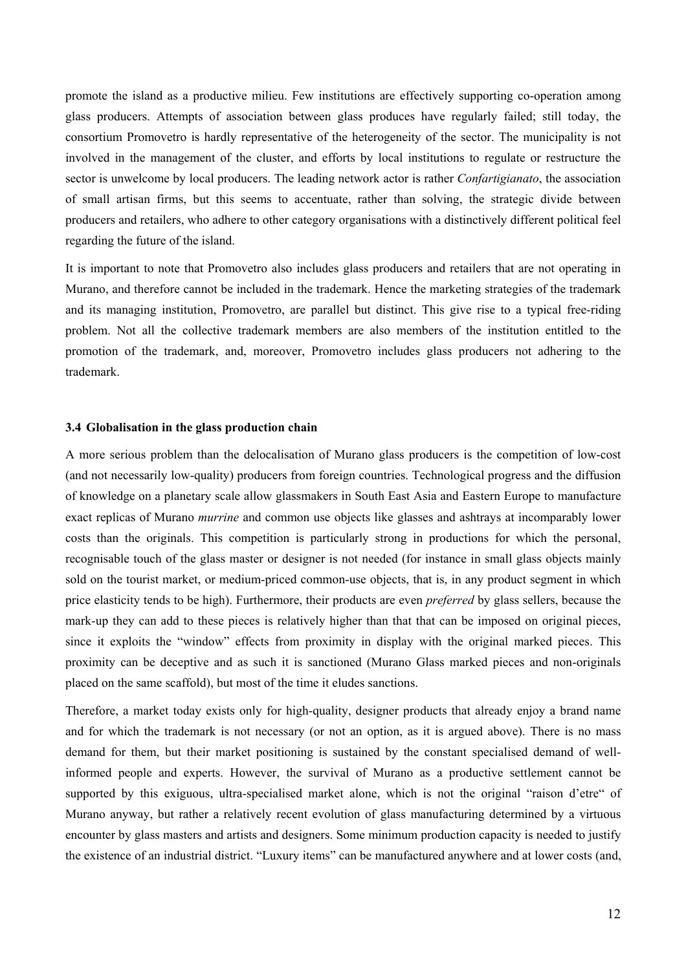promote the island as a productive milieu. Few institutions are effectively supporting co-operation among glass producers. Attempts of association between glass produces have regularly failed; still today, the consortium Promovetro is hardly representative of the heterogeneity of the sector. The municipality is not involved in the management of the cluster, and efforts by local institutions to regulate or restructure the sector is unwelcome by local producers. The leading network actor is rather *Confartigianato*, the association of small artisan firms, but this seems to accentuate, rather than solving, the strategic divide between producers and retailers, who adhere to other category organisations with a distinctively different political feel regarding the future of the island.

It is important to note that Promovetro also includes glass producers and retailers that are not operating in Murano, and therefore cannot be included in the trademark. Hence the marketing strategies of the trademark and its managing institution, Promovetro, are parallel but distinct. This give rise to a typical free-riding problem. Not all the collective trademark members are also members of the institution entitled to the promotion of the trademark, and, moreover, Promovetro includes glass producers not adhering to the trademark.

## **3.4 Globalisation in the glass production chain**

A more serious problem than the delocalisation of Murano glass producers is the competition of low-cost (and not necessarily low-quality) producers from foreign countries. Technological progress and the diffusion of knowledge on a planetary scale allow glassmakers in South East Asia and Eastern Europe to manufacture exact replicas of Murano *murrine* and common use objects like glasses and ashtrays at incomparably lower costs than the originals. This competition is particularly strong in productions for which the personal, recognisable touch of the glass master or designer is not needed (for instance in small glass objects mainly sold on the tourist market, or medium-priced common-use objects, that is, in any product segment in which price elasticity tends to be high). Furthermore, their products are even *preferred* by glass sellers, because the mark-up they can add to these pieces is relatively higher than that that can be imposed on original pieces, since it exploits the "window" effects from proximity in display with the original marked pieces. This proximity can be deceptive and as such it is sanctioned (Murano Glass marked pieces and non-originals placed on the same scaffold), but most of the time it eludes sanctions.

Therefore, a market today exists only for high-quality, designer products that already enjoy a brand name and for which the trademark is not necessary (or not an option, as it is argued above). There is no mass demand for them, but their market positioning is sustained by the constant specialised demand of wellinformed people and experts. However, the survival of Murano as a productive settlement cannot be supported by this exiguous, ultra-specialised market alone, which is not the original "raison d'etre" of Murano anyway, but rather a relatively recent evolution of glass manufacturing determined by a virtuous encounter by glass masters and artists and designers. Some minimum production capacity is needed to justify the existence of an industrial district. "Luxury items" can be manufactured anywhere and at lower costs (and,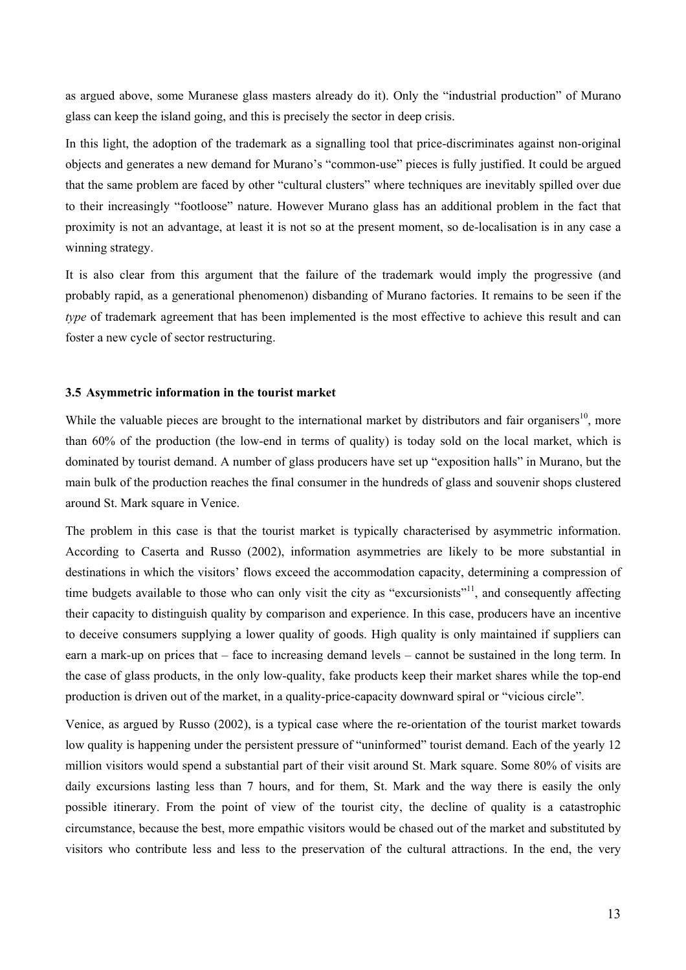as argued above, some Muranese glass masters already do it). Only the "industrial production" of Murano glass can keep the island going, and this is precisely the sector in deep crisis.

In this light, the adoption of the trademark as a signalling tool that price-discriminates against non-original objects and generates a new demand for Murano's "common-use" pieces is fully justified. It could be argued that the same problem are faced by other "cultural clusters" where techniques are inevitably spilled over due to their increasingly "footloose" nature. However Murano glass has an additional problem in the fact that proximity is not an advantage, at least it is not so at the present moment, so de-localisation is in any case a winning strategy.

It is also clear from this argument that the failure of the trademark would imply the progressive (and probably rapid, as a generational phenomenon) disbanding of Murano factories. It remains to be seen if the *type* of trademark agreement that has been implemented is the most effective to achieve this result and can foster a new cycle of sector restructuring.

#### **3.5 Asymmetric information in the tourist market**

While the valuable pieces are brought to the international market by distributors and fair organisers<sup>10</sup>, more than 60% of the production (the low-end in terms of quality) is today sold on the local market, which is dominated by tourist demand. A number of glass producers have set up "exposition halls" in Murano, but the main bulk of the production reaches the final consumer in the hundreds of glass and souvenir shops clustered around St. Mark square in Venice.

The problem in this case is that the tourist market is typically characterised by asymmetric information. According to Caserta and Russo (2002), information asymmetries are likely to be more substantial in destinations in which the visitors' flows exceed the accommodation capacity, determining a compression of time budgets available to those who can only visit the city as "excursionists"<sup>11</sup>, and consequently affecting their capacity to distinguish quality by comparison and experience. In this case, producers have an incentive to deceive consumers supplying a lower quality of goods. High quality is only maintained if suppliers can earn a mark-up on prices that – face to increasing demand levels – cannot be sustained in the long term. In the case of glass products, in the only low-quality, fake products keep their market shares while the top-end production is driven out of the market, in a quality-price-capacity downward spiral or "vicious circle".

Venice, as argued by Russo (2002), is a typical case where the re-orientation of the tourist market towards low quality is happening under the persistent pressure of "uninformed" tourist demand. Each of the yearly 12 million visitors would spend a substantial part of their visit around St. Mark square. Some 80% of visits are daily excursions lasting less than 7 hours, and for them, St. Mark and the way there is easily the only possible itinerary. From the point of view of the tourist city, the decline of quality is a catastrophic circumstance, because the best, more empathic visitors would be chased out of the market and substituted by visitors who contribute less and less to the preservation of the cultural attractions. In the end, the very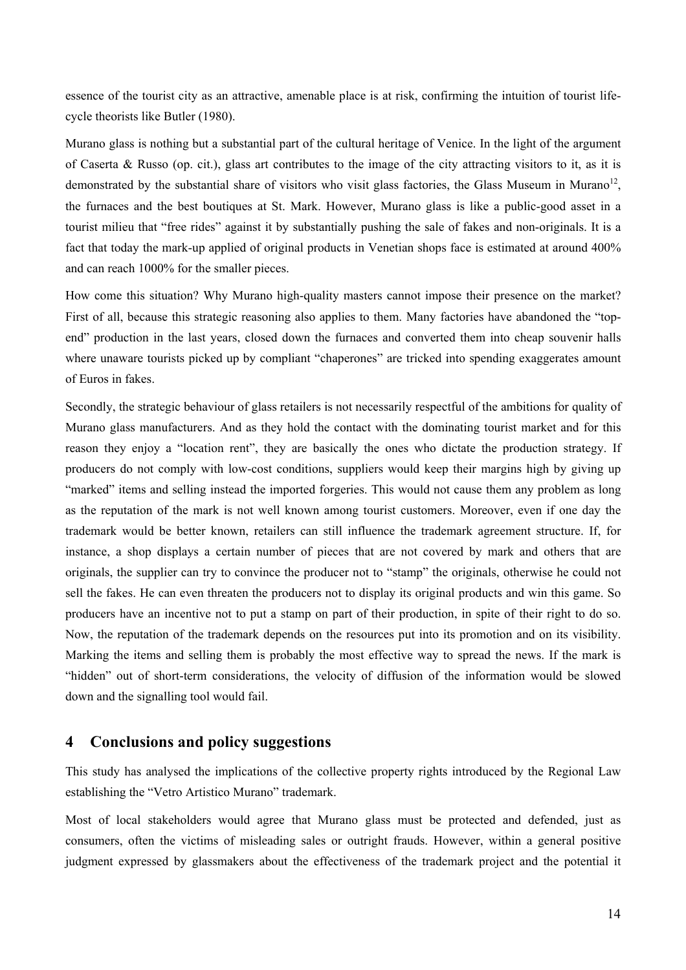essence of the tourist city as an attractive, amenable place is at risk, confirming the intuition of tourist lifecycle theorists like Butler (1980).

Murano glass is nothing but a substantial part of the cultural heritage of Venice. In the light of the argument of Caserta & Russo (op. cit.), glass art contributes to the image of the city attracting visitors to it, as it is demonstrated by the substantial share of visitors who visit glass factories, the Glass Museum in Murano<sup>12</sup>, the furnaces and the best boutiques at St. Mark. However, Murano glass is like a public-good asset in a tourist milieu that "free rides" against it by substantially pushing the sale of fakes and non-originals. It is a fact that today the mark-up applied of original products in Venetian shops face is estimated at around 400% and can reach 1000% for the smaller pieces.

How come this situation? Why Murano high-quality masters cannot impose their presence on the market? First of all, because this strategic reasoning also applies to them. Many factories have abandoned the "topend" production in the last years, closed down the furnaces and converted them into cheap souvenir halls where unaware tourists picked up by compliant "chaperones" are tricked into spending exaggerates amount of Euros in fakes.

Secondly, the strategic behaviour of glass retailers is not necessarily respectful of the ambitions for quality of Murano glass manufacturers. And as they hold the contact with the dominating tourist market and for this reason they enjoy a "location rent", they are basically the ones who dictate the production strategy. If producers do not comply with low-cost conditions, suppliers would keep their margins high by giving up "marked" items and selling instead the imported forgeries. This would not cause them any problem as long as the reputation of the mark is not well known among tourist customers. Moreover, even if one day the trademark would be better known, retailers can still influence the trademark agreement structure. If, for instance, a shop displays a certain number of pieces that are not covered by mark and others that are originals, the supplier can try to convince the producer not to "stamp" the originals, otherwise he could not sell the fakes. He can even threaten the producers not to display its original products and win this game. So producers have an incentive not to put a stamp on part of their production, in spite of their right to do so. Now, the reputation of the trademark depends on the resources put into its promotion and on its visibility. Marking the items and selling them is probably the most effective way to spread the news. If the mark is "hidden" out of short-term considerations, the velocity of diffusion of the information would be slowed down and the signalling tool would fail.

## **4 Conclusions and policy suggestions**

This study has analysed the implications of the collective property rights introduced by the Regional Law establishing the "Vetro Artistico Murano" trademark.

Most of local stakeholders would agree that Murano glass must be protected and defended, just as consumers, often the victims of misleading sales or outright frauds. However, within a general positive judgment expressed by glassmakers about the effectiveness of the trademark project and the potential it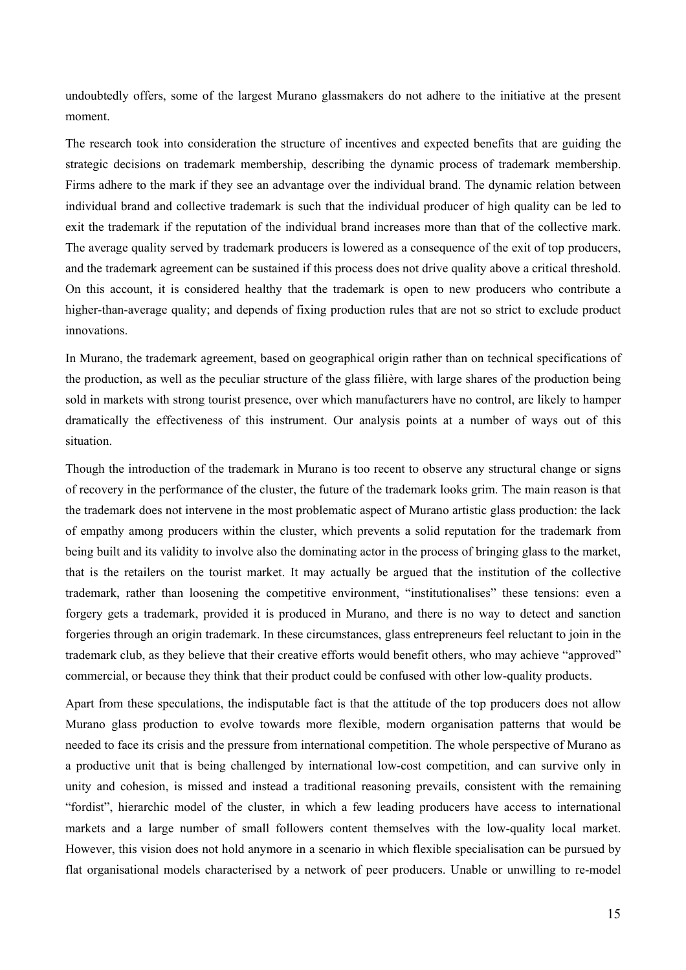undoubtedly offers, some of the largest Murano glassmakers do not adhere to the initiative at the present moment.

The research took into consideration the structure of incentives and expected benefits that are guiding the strategic decisions on trademark membership, describing the dynamic process of trademark membership. Firms adhere to the mark if they see an advantage over the individual brand. The dynamic relation between individual brand and collective trademark is such that the individual producer of high quality can be led to exit the trademark if the reputation of the individual brand increases more than that of the collective mark. The average quality served by trademark producers is lowered as a consequence of the exit of top producers, and the trademark agreement can be sustained if this process does not drive quality above a critical threshold. On this account, it is considered healthy that the trademark is open to new producers who contribute a higher-than-average quality; and depends of fixing production rules that are not so strict to exclude product innovations.

In Murano, the trademark agreement, based on geographical origin rather than on technical specifications of the production, as well as the peculiar structure of the glass filière, with large shares of the production being sold in markets with strong tourist presence, over which manufacturers have no control, are likely to hamper dramatically the effectiveness of this instrument. Our analysis points at a number of ways out of this situation.

Though the introduction of the trademark in Murano is too recent to observe any structural change or signs of recovery in the performance of the cluster, the future of the trademark looks grim. The main reason is that the trademark does not intervene in the most problematic aspect of Murano artistic glass production: the lack of empathy among producers within the cluster, which prevents a solid reputation for the trademark from being built and its validity to involve also the dominating actor in the process of bringing glass to the market, that is the retailers on the tourist market. It may actually be argued that the institution of the collective trademark, rather than loosening the competitive environment, "institutionalises" these tensions: even a forgery gets a trademark, provided it is produced in Murano, and there is no way to detect and sanction forgeries through an origin trademark. In these circumstances, glass entrepreneurs feel reluctant to join in the trademark club, as they believe that their creative efforts would benefit others, who may achieve "approved" commercial, or because they think that their product could be confused with other low-quality products.

Apart from these speculations, the indisputable fact is that the attitude of the top producers does not allow Murano glass production to evolve towards more flexible, modern organisation patterns that would be needed to face its crisis and the pressure from international competition. The whole perspective of Murano as a productive unit that is being challenged by international low-cost competition, and can survive only in unity and cohesion, is missed and instead a traditional reasoning prevails, consistent with the remaining "fordist", hierarchic model of the cluster, in which a few leading producers have access to international markets and a large number of small followers content themselves with the low-quality local market. However, this vision does not hold anymore in a scenario in which flexible specialisation can be pursued by flat organisational models characterised by a network of peer producers. Unable or unwilling to re-model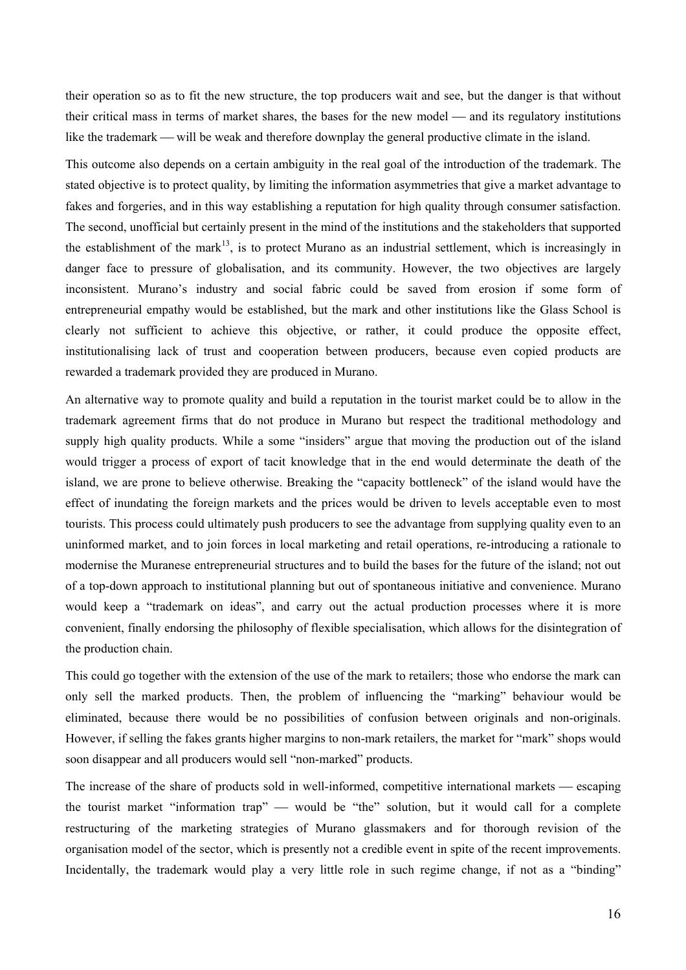their operation so as to fit the new structure, the top producers wait and see, but the danger is that without their critical mass in terms of market shares, the bases for the new model — and its regulatory institutions like the trademark — will be weak and therefore downplay the general productive climate in the island.

This outcome also depends on a certain ambiguity in the real goal of the introduction of the trademark. The stated objective is to protect quality, by limiting the information asymmetries that give a market advantage to fakes and forgeries, and in this way establishing a reputation for high quality through consumer satisfaction. The second, unofficial but certainly present in the mind of the institutions and the stakeholders that supported the establishment of the mark<sup>13</sup>, is to protect Murano as an industrial settlement, which is increasingly in danger face to pressure of globalisation, and its community. However, the two objectives are largely inconsistent. Murano's industry and social fabric could be saved from erosion if some form of entrepreneurial empathy would be established, but the mark and other institutions like the Glass School is clearly not sufficient to achieve this objective, or rather, it could produce the opposite effect, institutionalising lack of trust and cooperation between producers, because even copied products are rewarded a trademark provided they are produced in Murano.

An alternative way to promote quality and build a reputation in the tourist market could be to allow in the trademark agreement firms that do not produce in Murano but respect the traditional methodology and supply high quality products. While a some "insiders" argue that moving the production out of the island would trigger a process of export of tacit knowledge that in the end would determinate the death of the island, we are prone to believe otherwise. Breaking the "capacity bottleneck" of the island would have the effect of inundating the foreign markets and the prices would be driven to levels acceptable even to most tourists. This process could ultimately push producers to see the advantage from supplying quality even to an uninformed market, and to join forces in local marketing and retail operations, re-introducing a rationale to modernise the Muranese entrepreneurial structures and to build the bases for the future of the island; not out of a top-down approach to institutional planning but out of spontaneous initiative and convenience. Murano would keep a "trademark on ideas", and carry out the actual production processes where it is more convenient, finally endorsing the philosophy of flexible specialisation, which allows for the disintegration of the production chain.

This could go together with the extension of the use of the mark to retailers; those who endorse the mark can only sell the marked products. Then, the problem of influencing the "marking" behaviour would be eliminated, because there would be no possibilities of confusion between originals and non-originals. However, if selling the fakes grants higher margins to non-mark retailers, the market for "mark" shops would soon disappear and all producers would sell "non-marked" products.

The increase of the share of products sold in well-informed, competitive international markets — escaping the tourist market "information trap" would be "the" solution, but it would call for a complete restructuring of the marketing strategies of Murano glassmakers and for thorough revision of the organisation model of the sector, which is presently not a credible event in spite of the recent improvements. Incidentally, the trademark would play a very little role in such regime change, if not as a "binding"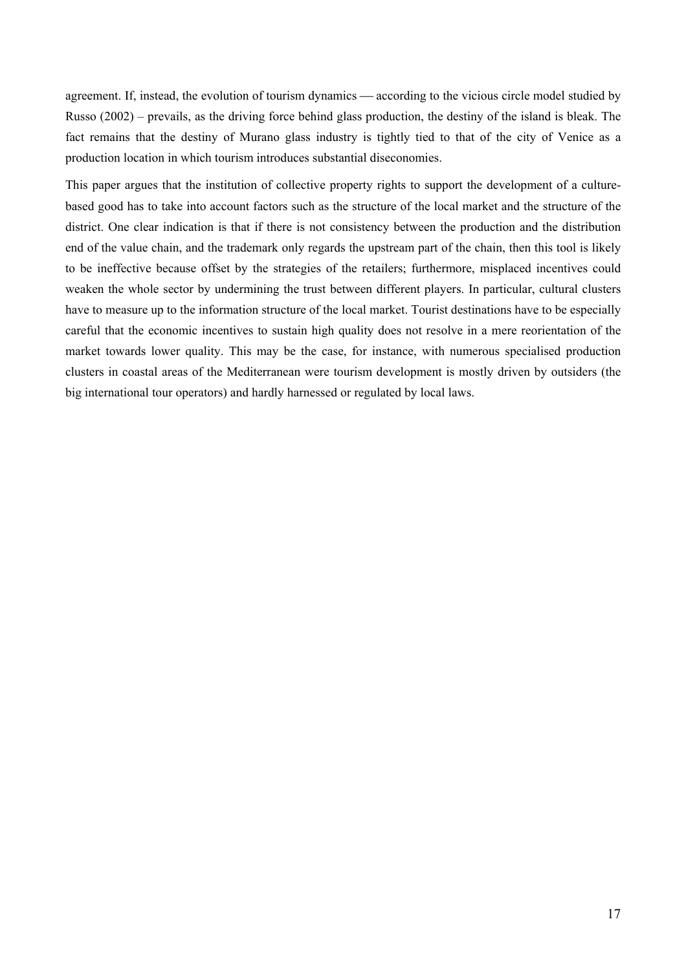agreement. If, instead, the evolution of tourism dynamics — according to the vicious circle model studied by Russo (2002) – prevails, as the driving force behind glass production, the destiny of the island is bleak. The fact remains that the destiny of Murano glass industry is tightly tied to that of the city of Venice as a production location in which tourism introduces substantial diseconomies.

This paper argues that the institution of collective property rights to support the development of a culturebased good has to take into account factors such as the structure of the local market and the structure of the district. One clear indication is that if there is not consistency between the production and the distribution end of the value chain, and the trademark only regards the upstream part of the chain, then this tool is likely to be ineffective because offset by the strategies of the retailers; furthermore, misplaced incentives could weaken the whole sector by undermining the trust between different players. In particular, cultural clusters have to measure up to the information structure of the local market. Tourist destinations have to be especially careful that the economic incentives to sustain high quality does not resolve in a mere reorientation of the market towards lower quality. This may be the case, for instance, with numerous specialised production clusters in coastal areas of the Mediterranean were tourism development is mostly driven by outsiders (the big international tour operators) and hardly harnessed or regulated by local laws.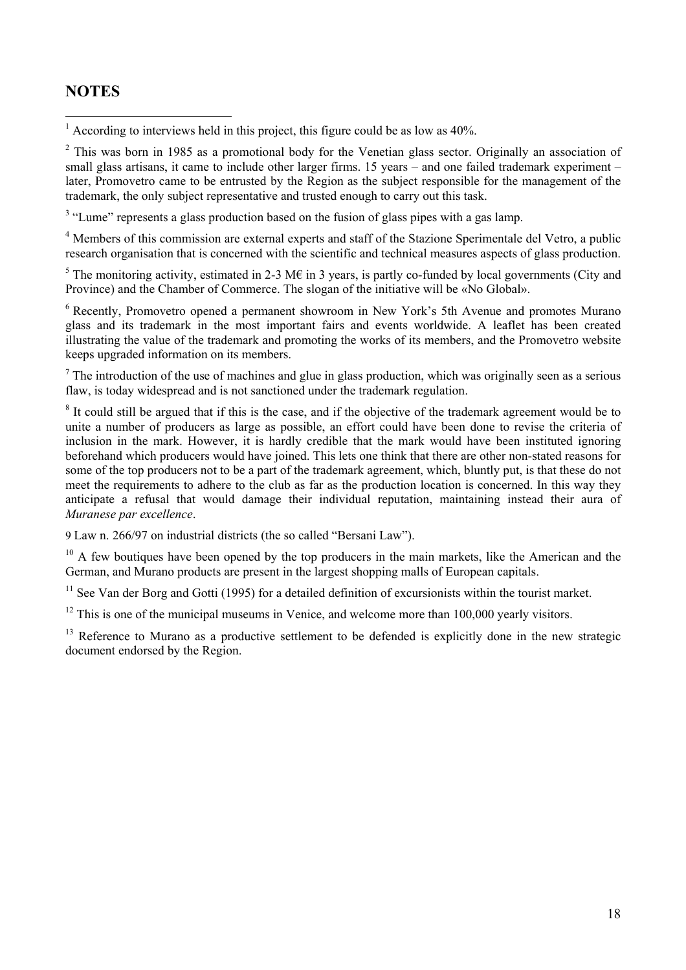## **NOTES**

<sup>1</sup> According to interviews held in this project, this figure could be as low as 40%.

 $2$  This was born in 1985 as a promotional body for the Venetian glass sector. Originally an association of small glass artisans, it came to include other larger firms. 15 years – and one failed trademark experiment – later, Promovetro came to be entrusted by the Region as the subject responsible for the management of the trademark, the only subject representative and trusted enough to carry out this task.

<sup>3</sup> "Lume" represents a glass production based on the fusion of glass pipes with a gas lamp.

<sup>4</sup> Members of this commission are external experts and staff of the Stazione Sperimentale del Vetro, a public research organisation that is concerned with the scientific and technical measures aspects of glass production.

<sup>5</sup> The monitoring activity, estimated in 2-3 M $\epsilon$  in 3 years, is partly co-funded by local governments (City and Province) and the Chamber of Commerce. The slogan of the initiative will be «No Global».

<sup>6</sup> Recently, Promovetro opened a permanent showroom in New York's 5th Avenue and promotes Murano glass and its trademark in the most important fairs and events worldwide. A leaflet has been created illustrating the value of the trademark and promoting the works of its members, and the Promovetro website keeps upgraded information on its members.

 $<sup>7</sup>$  The introduction of the use of machines and glue in glass production, which was originally seen as a serious</sup> flaw, is today widespread and is not sanctioned under the trademark regulation.

<sup>8</sup> It could still be argued that if this is the case, and if the objective of the trademark agreement would be to unite a number of producers as large as possible, an effort could have been done to revise the criteria of inclusion in the mark. However, it is hardly credible that the mark would have been instituted ignoring beforehand which producers would have joined. This lets one think that there are other non-stated reasons for some of the top producers not to be a part of the trademark agreement, which, bluntly put, is that these do not meet the requirements to adhere to the club as far as the production location is concerned. In this way they anticipate a refusal that would damage their individual reputation, maintaining instead their aura of *Muranese par excellence*.

9 Law n. 266/97 on industrial districts (the so called "Bersani Law").

<sup>10</sup> A few boutiques have been opened by the top producers in the main markets, like the American and the German, and Murano products are present in the largest shopping malls of European capitals.

 $11$  See Van der Borg and Gotti (1995) for a detailed definition of excursionists within the tourist market.

 $12$  This is one of the municipal museums in Venice, and welcome more than 100,000 yearly visitors.

<sup>13</sup> Reference to Murano as a productive settlement to be defended is explicitly done in the new strategic document endorsed by the Region.